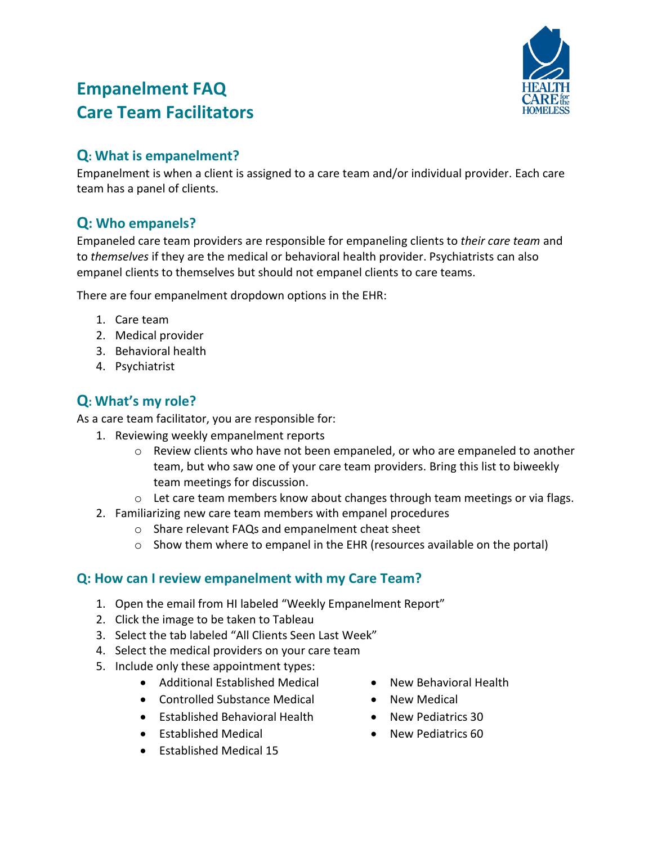

# **Empanelment FAQ Care Team Facilitators**

### **Q: What is empanelment?**

Empanelment is when a client is assigned to a care team and/or individual provider. Each care team has a panel of clients.

## **Q: Who empanels?**

Empaneled care team providers are responsible for empaneling clients to *their care team* and to *themselves* if they are the medical or behavioral health provider. Psychiatrists can also empanel clients to themselves but should not empanel clients to care teams.

There are four empanelment dropdown options in the EHR:

- 1. Care team
- 2. Medical provider
- 3. Behavioral health
- 4. Psychiatrist

## **Q: What's my role?**

As a care team facilitator, you are responsible for:

- 1. Reviewing weekly empanelment reports
	- o Review clients who have not been empaneled, or who are empaneled to another team, but who saw one of your care team providers. Bring this list to biweekly team meetings for discussion.
	- o Let care team members know about changes through team meetings or via flags.
- 2. Familiarizing new care team members with empanel procedures
	- o Share relevant FAQs and empanelment cheat sheet
	- o Show them where to empanel in the EHR (resources available on the portal)

### **Q: How can I review empanelment with my Care Team?**

- 1. Open the email from HI labeled "Weekly Empanelment Report"
- 2. Click the image to be taken to Tableau
- 3. Select the tab labeled "All Clients Seen Last Week"
- 4. Select the medical providers on your care team
- 5. Include only these appointment types:
	- Additional Established Medical
	- Controlled Substance Medical
	- Established Behavioral Health
	- Established Medical
	- Established Medical 15
- New Behavioral Health
- New Medical
- New Pediatrics 30
- New Pediatrics 60